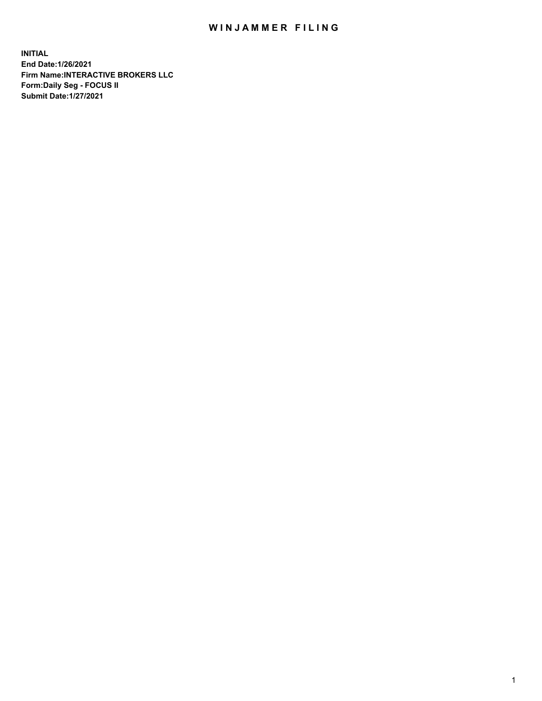## WIN JAMMER FILING

**INITIAL End Date:1/26/2021 Firm Name:INTERACTIVE BROKERS LLC Form:Daily Seg - FOCUS II Submit Date:1/27/2021**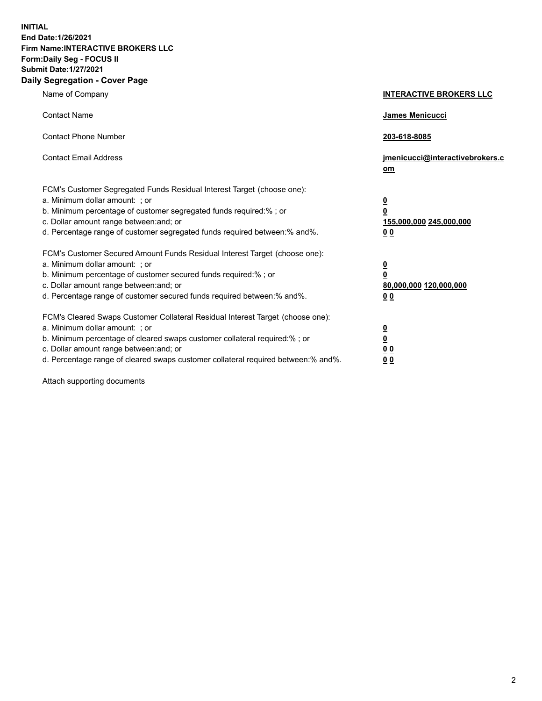**INITIAL End Date:1/26/2021 Firm Name:INTERACTIVE BROKERS LLC Form:Daily Seg - FOCUS II Submit Date:1/27/2021 Daily Segregation - Cover Page**

| Name of Company                                                                                                                                                                                                                                                                                                               | <b>INTERACTIVE BROKERS LLC</b>                                                            |  |
|-------------------------------------------------------------------------------------------------------------------------------------------------------------------------------------------------------------------------------------------------------------------------------------------------------------------------------|-------------------------------------------------------------------------------------------|--|
| <b>Contact Name</b>                                                                                                                                                                                                                                                                                                           | James Menicucci                                                                           |  |
| <b>Contact Phone Number</b>                                                                                                                                                                                                                                                                                                   | 203-618-8085                                                                              |  |
| <b>Contact Email Address</b>                                                                                                                                                                                                                                                                                                  | jmenicucci@interactivebrokers.c<br><u>om</u>                                              |  |
| FCM's Customer Segregated Funds Residual Interest Target (choose one):<br>a. Minimum dollar amount: ; or<br>b. Minimum percentage of customer segregated funds required:% ; or<br>c. Dollar amount range between: and; or<br>d. Percentage range of customer segregated funds required between: % and %.                      | $\overline{\mathbf{0}}$<br>0<br>155,000,000 245,000,000<br>0 <sub>0</sub>                 |  |
| FCM's Customer Secured Amount Funds Residual Interest Target (choose one):<br>a. Minimum dollar amount: ; or<br>b. Minimum percentage of customer secured funds required:%; or<br>c. Dollar amount range between: and; or<br>d. Percentage range of customer secured funds required between:% and%.                           | <u>0</u><br>$\overline{\mathbf{0}}$<br>80,000,000 120,000,000<br>00                       |  |
| FCM's Cleared Swaps Customer Collateral Residual Interest Target (choose one):<br>a. Minimum dollar amount: ; or<br>b. Minimum percentage of cleared swaps customer collateral required:%; or<br>c. Dollar amount range between: and; or<br>d. Percentage range of cleared swaps customer collateral required between:% and%. | <u>0</u><br>$\underline{\mathbf{0}}$<br>$\underline{0}$ $\underline{0}$<br>0 <sub>0</sub> |  |

Attach supporting documents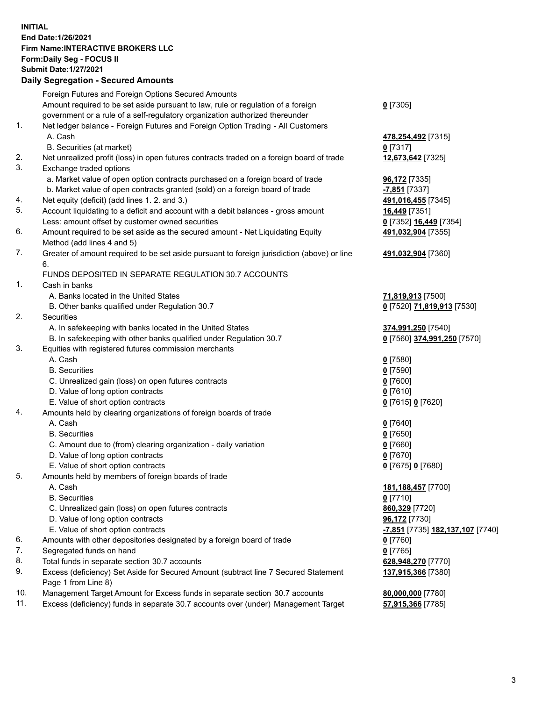**INITIAL End Date:1/26/2021 Firm Name:INTERACTIVE BROKERS LLC Form:Daily Seg - FOCUS II Submit Date:1/27/2021 Daily Segregation - Secured Amounts**

## Foreign Futures and Foreign Options Secured Amounts Amount required to be set aside pursuant to law, rule or regulation of a foreign government or a rule of a self-regulatory organization authorized thereunder **0** [7305] 1. Net ledger balance - Foreign Futures and Foreign Option Trading - All Customers A. Cash **478,254,492** [7315] B. Securities (at market) **0** [7317] 2. Net unrealized profit (loss) in open futures contracts traded on a foreign board of trade **12,673,642** [7325] 3. Exchange traded options a. Market value of open option contracts purchased on a foreign board of trade **96,172** [7335] b. Market value of open contracts granted (sold) on a foreign board of trade **-7,851** [7337] 4. Net equity (deficit) (add lines 1. 2. and 3.) **491,016,455** [7345] 5. Account liquidating to a deficit and account with a debit balances - gross amount **16,449** [7351] Less: amount offset by customer owned securities **0** [7352] **16,449** [7354] 6. Amount required to be set aside as the secured amount - Net Liquidating Equity Method (add lines 4 and 5) **491,032,904** [7355] 7. Greater of amount required to be set aside pursuant to foreign jurisdiction (above) or line 6. **491,032,904** [7360] FUNDS DEPOSITED IN SEPARATE REGULATION 30.7 ACCOUNTS 1. Cash in banks A. Banks located in the United States **71,819,913** [7500] B. Other banks qualified under Regulation 30.7 **0** [7520] **71,819,913** [7530] 2. Securities A. In safekeeping with banks located in the United States **374,991,250** [7540] B. In safekeeping with other banks qualified under Regulation 30.7 **0** [7560] **374,991,250** [7570] 3. Equities with registered futures commission merchants A. Cash **0** [7580] B. Securities **0** [7590] C. Unrealized gain (loss) on open futures contracts **0** [7600] D. Value of long option contracts **0** [7610] E. Value of short option contracts **0** [7615] **0** [7620] 4. Amounts held by clearing organizations of foreign boards of trade A. Cash **0** [7640] B. Securities **0** [7650] C. Amount due to (from) clearing organization - daily variation **0** [7660] D. Value of long option contracts **0** [7670] E. Value of short option contracts **0** [7675] **0** [7680] 5. Amounts held by members of foreign boards of trade A. Cash **181,188,457** [7700] B. Securities **0** [7710] C. Unrealized gain (loss) on open futures contracts **860,329** [7720] D. Value of long option contracts **96,172** [7730] E. Value of short option contracts **-7,851** [7735] **182,137,107** [7740] 6. Amounts with other depositories designated by a foreign board of trade **0** [7760] 7. Segregated funds on hand **0** [7765] 8. Total funds in separate section 30.7 accounts **628,948,270** [7770] 9. Excess (deficiency) Set Aside for Secured Amount (subtract line 7 Secured Statement Page 1 from Line 8) **137,915,366** [7380] 10. Management Target Amount for Excess funds in separate section 30.7 accounts **80,000,000** [7780] 11. Excess (deficiency) funds in separate 30.7 accounts over (under) Management Target **57,915,366** [7785]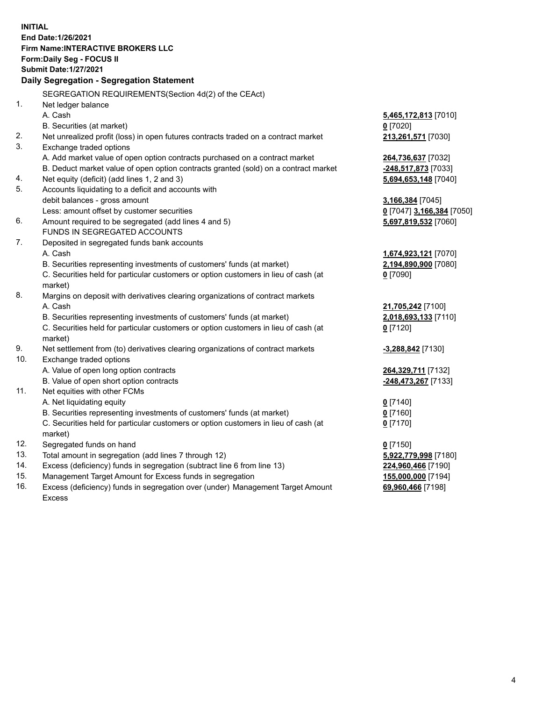**INITIAL End Date:1/26/2021 Firm Name:INTERACTIVE BROKERS LLC Form:Daily Seg - FOCUS II Submit Date:1/27/2021 Daily Segregation - Segregation Statement** SEGREGATION REQUIREMENTS(Section 4d(2) of the CEAct) 1. Net ledger balance A. Cash **5,465,172,813** [7010] B. Securities (at market) **0** [7020] 2. Net unrealized profit (loss) in open futures contracts traded on a contract market **213,261,571** [7030] 3. Exchange traded options A. Add market value of open option contracts purchased on a contract market **264,736,637** [7032] B. Deduct market value of open option contracts granted (sold) on a contract market **-248,517,873** [7033] 4. Net equity (deficit) (add lines 1, 2 and 3) **5,694,653,148** [7040] 5. Accounts liquidating to a deficit and accounts with debit balances - gross amount **3,166,384** [7045] Less: amount offset by customer securities **0** [7047] **3,166,384** [7050] 6. Amount required to be segregated (add lines 4 and 5) **5,697,819,532** [7060] FUNDS IN SEGREGATED ACCOUNTS 7. Deposited in segregated funds bank accounts A. Cash **1,674,923,121** [7070] B. Securities representing investments of customers' funds (at market) **2,194,890,900** [7080] C. Securities held for particular customers or option customers in lieu of cash (at market) **0** [7090] 8. Margins on deposit with derivatives clearing organizations of contract markets A. Cash **21,705,242** [7100] B. Securities representing investments of customers' funds (at market) **2,018,693,133** [7110] C. Securities held for particular customers or option customers in lieu of cash (at market) **0** [7120] 9. Net settlement from (to) derivatives clearing organizations of contract markets **-3,288,842** [7130] 10. Exchange traded options A. Value of open long option contracts **264,329,711** [7132] B. Value of open short option contracts **-248,473,267** [7133] 11. Net equities with other FCMs A. Net liquidating equity **0** [7140] B. Securities representing investments of customers' funds (at market) **0** [7160] C. Securities held for particular customers or option customers in lieu of cash (at market) **0** [7170] 12. Segregated funds on hand **0** [7150] 13. Total amount in segregation (add lines 7 through 12) **5,922,779,998** [7180] 14. Excess (deficiency) funds in segregation (subtract line 6 from line 13) **224,960,466** [7190] 15. Management Target Amount for Excess funds in segregation **155,000,000** [7194]

16. Excess (deficiency) funds in segregation over (under) Management Target Amount Excess

**69,960,466** [7198]